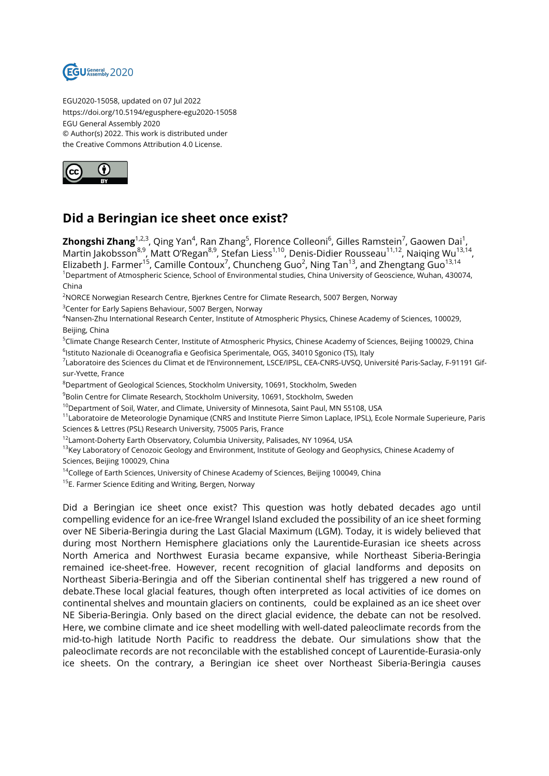

EGU2020-15058, updated on 07 Jul 2022 https://doi.org/10.5194/egusphere-egu2020-15058 EGU General Assembly 2020 © Author(s) 2022. This work is distributed under the Creative Commons Attribution 4.0 License.



## **Did a Beringian ice sheet once exist?**

**Zhongshi Zhang**<sup>1,2,3</sup>, Qing Yan<sup>4</sup>, Ran Zhang<sup>5</sup>, Florence Colleoni<sup>6</sup>, Gilles Ramstein<sup>7</sup>, Gaowen Dai<sup>1</sup>, Martin Jakobsson<sup>8,9</sup>, Matt O'Regan<sup>8,9</sup>, Stefan Liess<sup>1,10</sup>, Denis-Didier Rousseau<sup>11,12</sup>, Naiqing Wu<sup>13,14</sup>, Elizabeth J. Farmer<sup>15</sup>, Camille Contoux<sup>7</sup>, Chuncheng Guo<sup>2</sup>, Ning Tan<sup>13</sup>, and Zhengtang Guo<sup>13,14</sup> <sup>1</sup>Department of Atmospheric Science, School of Environmental studies, China University of Geoscience, Wuhan, 430074, China

<sup>2</sup>NORCE Norwegian Research Centre, Bjerknes Centre for Climate Research, 5007 Bergen, Norway

<sup>3</sup>Center for Early Sapiens Behaviour, 5007 Bergen, Norway

<sup>4</sup>Nansen-Zhu International Research Center, Institute of Atmospheric Physics, Chinese Academy of Sciences, 100029, Beijing, China

<sup>5</sup>Climate Change Research Center, Institute of Atmospheric Physics, Chinese Academy of Sciences, Beijing 100029, China <sup>6</sup>lstituto Nazionale di Oceanografia e Geofisica Sperimentale, OGS, 34010 Sgonico (TS), Italy

<sup>7</sup>Laboratoire des Sciences du Climat et de l'Environnement, LSCE/IPSL, CEA-CNRS-UVSQ, Université Paris-Saclay, F-91191 Gifsur-Yvette, France

<sup>8</sup>Department of Geological Sciences, Stockholm University, 10691, Stockholm, Sweden

<sup>9</sup>Bolin Centre for Climate Research, Stockholm University, 10691, Stockholm, Sweden

<sup>10</sup>Department of Soil, Water, and Climate, University of Minnesota, Saint Paul, MN 55108, USA

<sup>11</sup>Laboratoire de Meteorologie Dynamique (CNRS and Institute Pierre Simon Laplace, IPSL), Ecole Normale Superieure, Paris Sciences & Lettres (PSL) Research University, 75005 Paris, France

<sup>12</sup>Lamont-Doherty Earth Observatory, Columbia University, Palisades, NY 10964, USA

<sup>13</sup>Key Laboratory of Cenozoic Geology and Environment, Institute of Geology and Geophysics, Chinese Academy of

Sciences, Beijing 100029, China

<sup>14</sup>College of Earth Sciences, University of Chinese Academy of Sciences, Beijing 100049, China

<sup>15</sup>E. Farmer Science Editing and Writing, Bergen, Norway

Did a Beringian ice sheet once exist? This question was hotly debated decades ago until compelling evidence for an ice-free Wrangel Island excluded the possibility of an ice sheet forming over NE Siberia-Beringia during the Last Glacial Maximum (LGM). Today, it is widely believed that during most Northern Hemisphere glaciations only the Laurentide-Eurasian ice sheets across North America and Northwest Eurasia became expansive, while Northeast Siberia-Beringia remained ice-sheet-free. However, recent recognition of glacial landforms and deposits on Northeast Siberia-Beringia and off the Siberian continental shelf has triggered a new round of debate.These local glacial features, though often interpreted as local activities of ice domes on continental shelves and mountain glaciers on continents, could be explained as an ice sheet over NE Siberia-Beringia. Only based on the direct glacial evidence, the debate can not be resolved. Here, we combine climate and ice sheet modelling with well-dated paleoclimate records from the mid-to-high latitude North Pacific to readdress the debate. Our simulations show that the paleoclimate records are not reconcilable with the established concept of Laurentide-Eurasia-only ice sheets. On the contrary, a Beringian ice sheet over Northeast Siberia-Beringia causes